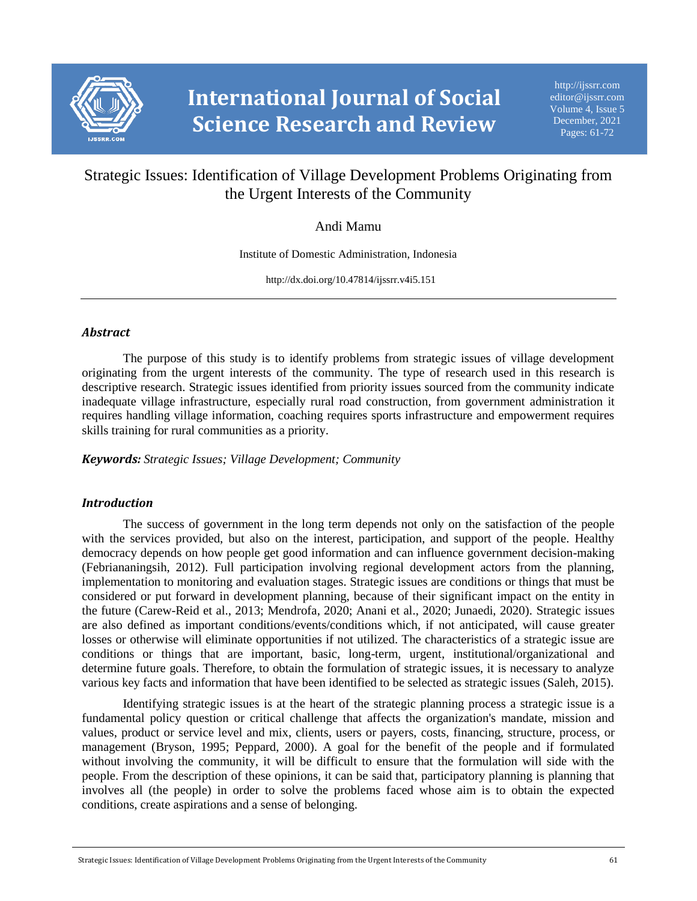

# Strategic Issues: Identification of Village Development Problems Originating from the Urgent Interests of the Community

## Andi Mamu

Institute of Domestic Administration, Indonesia

http://dx.doi.org/10.47814/ijssrr.v4i5.151

## *Abstract*

The purpose of this study is to identify problems from strategic issues of village development originating from the urgent interests of the community. The type of research used in this research is descriptive research. Strategic issues identified from priority issues sourced from the community indicate inadequate village infrastructure, especially rural road construction, from government administration it requires handling village information, coaching requires sports infrastructure and empowerment requires skills training for rural communities as a priority.

*Keywords: Strategic Issues; Village Development; Community*

## *Introduction*

The success of government in the long term depends not only on the satisfaction of the people with the services provided, but also on the interest, participation, and support of the people. Healthy democracy depends on how people get good information and can influence government decision-making (Febriananingsih, 2012). Full participation involving regional development actors from the planning, implementation to monitoring and evaluation stages. Strategic issues are conditions or things that must be considered or put forward in development planning, because of their significant impact on the entity in the future (Carew-Reid et al., 2013; Mendrofa, 2020; Anani et al., 2020; Junaedi, 2020). Strategic issues are also defined as important conditions/events/conditions which, if not anticipated, will cause greater losses or otherwise will eliminate opportunities if not utilized. The characteristics of a strategic issue are conditions or things that are important, basic, long-term, urgent, institutional/organizational and determine future goals. Therefore, to obtain the formulation of strategic issues, it is necessary to analyze various key facts and information that have been identified to be selected as strategic issues (Saleh, 2015).

Identifying strategic issues is at the heart of the strategic planning process a strategic issue is a fundamental policy question or critical challenge that affects the organization's mandate, mission and values, product or service level and mix, clients, users or payers, costs, financing, structure, process, or management (Bryson, 1995; Peppard, 2000). A goal for the benefit of the people and if formulated without involving the community, it will be difficult to ensure that the formulation will side with the people. From the description of these opinions, it can be said that, participatory planning is planning that involves all (the people) in order to solve the problems faced whose aim is to obtain the expected conditions, create aspirations and a sense of belonging.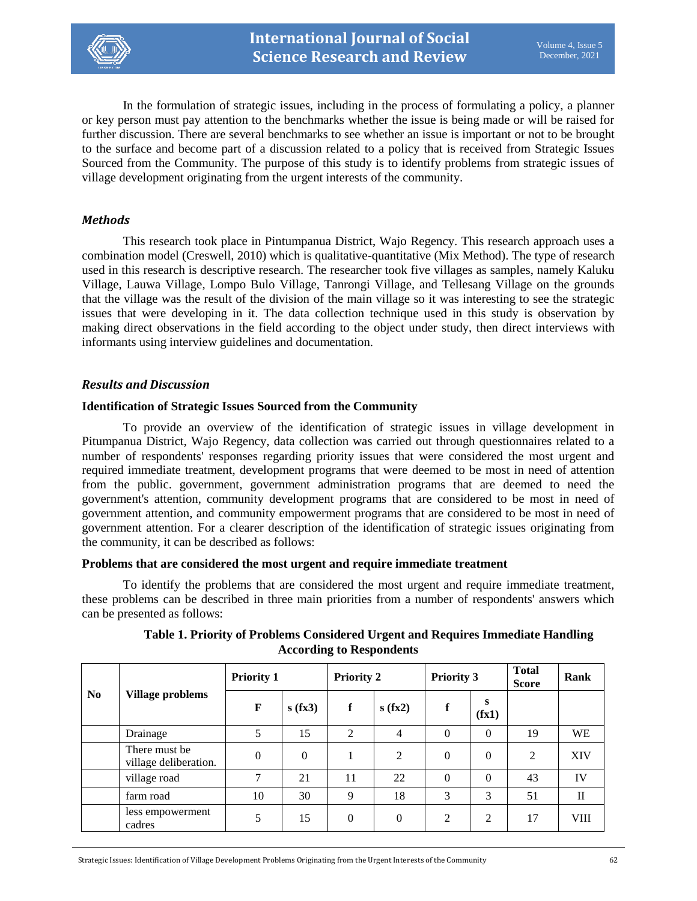

In the formulation of strategic issues, including in the process of formulating a policy, a planner or key person must pay attention to the benchmarks whether the issue is being made or will be raised for further discussion. There are several benchmarks to see whether an issue is important or not to be brought to the surface and become part of a discussion related to a policy that is received from Strategic Issues Sourced from the Community. The purpose of this study is to identify problems from strategic issues of village development originating from the urgent interests of the community.

## *Methods*

This research took place in Pintumpanua District, Wajo Regency. This research approach uses a combination model (Creswell, 2010) which is qualitative-quantitative (Mix Method). The type of research used in this research is descriptive research. The researcher took five villages as samples, namely Kaluku Village, Lauwa Village, Lompo Bulo Village, Tanrongi Village, and Tellesang Village on the grounds that the village was the result of the division of the main village so it was interesting to see the strategic issues that were developing in it. The data collection technique used in this study is observation by making direct observations in the field according to the object under study, then direct interviews with informants using interview guidelines and documentation.

## *Results and Discussion*

### **Identification of Strategic Issues Sourced from the Community**

To provide an overview of the identification of strategic issues in village development in Pitumpanua District, Wajo Regency, data collection was carried out through questionnaires related to a number of respondents' responses regarding priority issues that were considered the most urgent and required immediate treatment, development programs that were deemed to be most in need of attention from the public. government, government administration programs that are deemed to need the government's attention, community development programs that are considered to be most in need of government attention, and community empowerment programs that are considered to be most in need of government attention. For a clearer description of the identification of strategic issues originating from the community, it can be described as follows:

#### **Problems that are considered the most urgent and require immediate treatment**

To identify the problems that are considered the most urgent and require immediate treatment, these problems can be described in three main priorities from a number of respondents' answers which can be presented as follows:

| N <sub>0</sub> | <b>Village problems</b>                | <b>Priority 1</b> |          | <b>Priority 2</b> |                | <b>Priority 3</b> |                | <b>Total</b><br><b>Score</b> | Rank         |
|----------------|----------------------------------------|-------------------|----------|-------------------|----------------|-------------------|----------------|------------------------------|--------------|
|                |                                        | F                 | s(fx3)   | f                 | s(fx2)         | f                 | s<br>(fx1)     |                              |              |
|                | Drainage                               | 5                 | 15       | 2                 | 4              | $\theta$          | $\overline{0}$ | 19                           | WE           |
|                | There must be<br>village deliberation. | $\theta$          | $\Omega$ |                   | $\overline{2}$ | $\theta$          | $\overline{0}$ | $\overline{2}$               | <b>XIV</b>   |
|                | village road                           | 7                 | 21       | 11                | 22             | $\theta$          | $\Omega$       | 43                           | IV           |
|                | farm road                              | 10                | 30       | 9                 | 18             | 3                 | 3              | 51                           | $\mathbf{I}$ |
|                | less empowerment<br>cadres             |                   | 15       | $\theta$          | $\Omega$       | $\overline{2}$    | 2              | 17                           | <b>VIII</b>  |

**Table 1. Priority of Problems Considered Urgent and Requires Immediate Handling According to Respondents**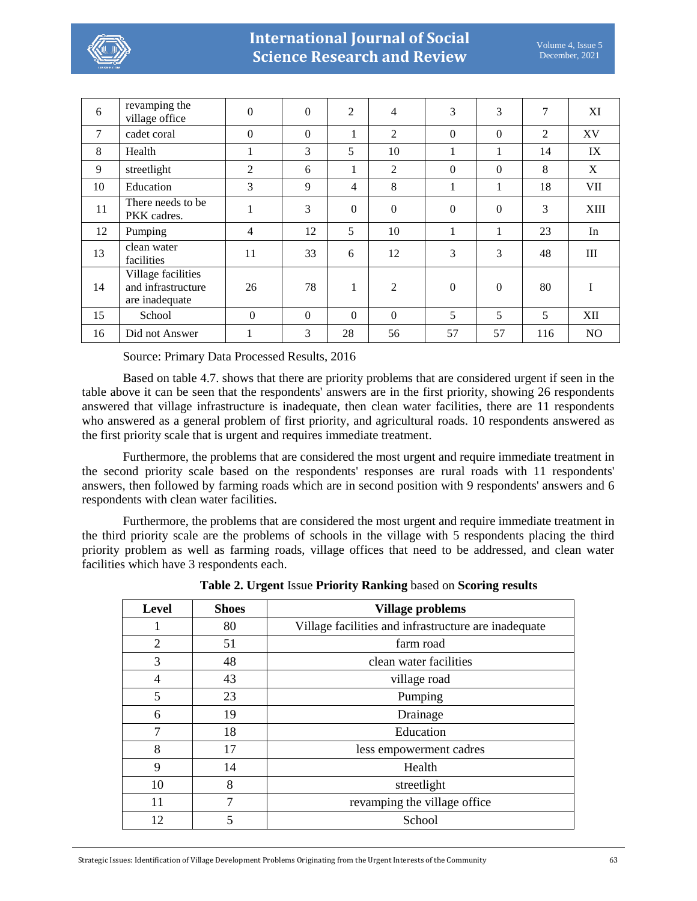

| 6  | revamping the<br>village office                            | $\mathbf{0}$ | $\boldsymbol{0}$ | $\overline{2}$ | 4              | 3              | 3            | 7              | XI          |
|----|------------------------------------------------------------|--------------|------------------|----------------|----------------|----------------|--------------|----------------|-------------|
| 7  | cadet coral                                                | $\Omega$     | $\Omega$         |                | 2              | $\Omega$       | $\Omega$     | $\overline{2}$ | XV          |
| 8  | Health                                                     | 1            | 3                | 5              | 10             | 1              | 1            | 14             | IX          |
| 9  | streetlight                                                | 2            | 6                | $\mathbf{1}$   | $\overline{2}$ | $\Omega$       | $\Omega$     | 8              | X           |
| 10 | Education                                                  | 3            | 9                | 4              | 8              | 1              |              | 18             | <b>VII</b>  |
| 11 | There needs to be<br>PKK cadres.                           |              | 3                | $\mathbf{0}$   | $\mathbf{0}$   | $\overline{0}$ | $\mathbf{0}$ | 3              | <b>XIII</b> |
| 12 | Pumping                                                    | 4            | 12               | 5              | 10             | 1              | 1            | 23             | In          |
| 13 | clean water<br>facilities                                  | 11           | 33               | 6              | 12             | 3              | 3            | 48             | Ш           |
| 14 | Village facilities<br>and infrastructure<br>are inadequate | 26           | 78               |                | 2              | $\mathbf{0}$   | $\mathbf{0}$ | 80             | I           |
| 15 | School                                                     | $\Omega$     | $\Omega$         | $\Omega$       | $\Omega$       | 5              | 5            | 5              | XII         |
| 16 | Did not Answer                                             |              | 3                | 28             | 56             | 57             | 57           | 116            | NO          |

Source: Primary Data Processed Results, 2016

Based on table 4.7. shows that there are priority problems that are considered urgent if seen in the table above it can be seen that the respondents' answers are in the first priority, showing 26 respondents answered that village infrastructure is inadequate, then clean water facilities, there are 11 respondents who answered as a general problem of first priority, and agricultural roads. 10 respondents answered as the first priority scale that is urgent and requires immediate treatment.

Furthermore, the problems that are considered the most urgent and require immediate treatment in the second priority scale based on the respondents' responses are rural roads with 11 respondents' answers, then followed by farming roads which are in second position with 9 respondents' answers and 6 respondents with clean water facilities.

Furthermore, the problems that are considered the most urgent and require immediate treatment in the third priority scale are the problems of schools in the village with 5 respondents placing the third priority problem as well as farming roads, village offices that need to be addressed, and clean water facilities which have 3 respondents each.

| Level          | <b>Shoes</b> | Village problems                                     |
|----------------|--------------|------------------------------------------------------|
| 1              | 80           | Village facilities and infrastructure are inadequate |
| $\overline{2}$ | 51           | farm road                                            |
| 3              | 48           | clean water facilities                               |
| 4              | 43           | village road                                         |
| 5              | 23           | Pumping                                              |
| 6              | 19           | Drainage                                             |
| 7              | 18           | Education                                            |
| 8              | 17           | less empowerment cadres                              |
| 9              | 14           | Health                                               |
| 10             | 8            | streetlight                                          |
| 11             | 7            | revamping the village office                         |
| 12             | 5            | School                                               |
|                |              |                                                      |

**Table 2. Urgent** Issue **Priority Ranking** based on **Scoring results**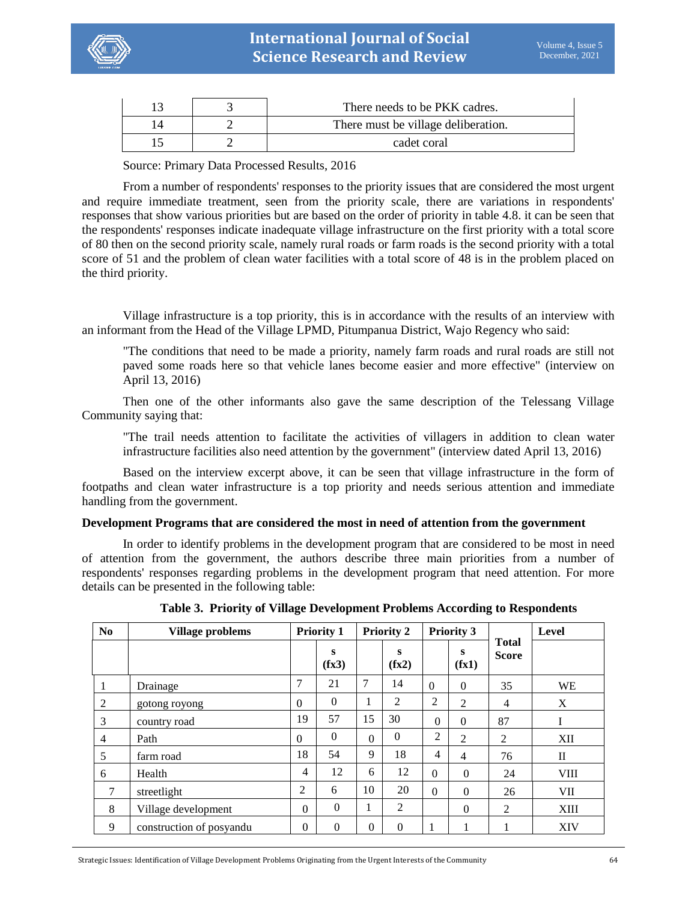

|  | There needs to be PKK cadres.       |
|--|-------------------------------------|
|  | There must be village deliberation. |
|  | cadet coral                         |

Source: Primary Data Processed Results, 2016

From a number of respondents' responses to the priority issues that are considered the most urgent and require immediate treatment, seen from the priority scale, there are variations in respondents' responses that show various priorities but are based on the order of priority in table 4.8. it can be seen that the respondents' responses indicate inadequate village infrastructure on the first priority with a total score of 80 then on the second priority scale, namely rural roads or farm roads is the second priority with a total score of 51 and the problem of clean water facilities with a total score of 48 is in the problem placed on the third priority.

Village infrastructure is a top priority, this is in accordance with the results of an interview with an informant from the Head of the Village LPMD, Pitumpanua District, Wajo Regency who said:

"The conditions that need to be made a priority, namely farm roads and rural roads are still not paved some roads here so that vehicle lanes become easier and more effective" (interview on April 13, 2016)

Then one of the other informants also gave the same description of the Telessang Village Community saying that:

"The trail needs attention to facilitate the activities of villagers in addition to clean water infrastructure facilities also need attention by the government" (interview dated April 13, 2016)

Based on the interview excerpt above, it can be seen that village infrastructure in the form of footpaths and clean water infrastructure is a top priority and needs serious attention and immediate handling from the government.

#### **Development Programs that are considered the most in need of attention from the government**

In order to identify problems in the development program that are considered to be most in need of attention from the government, the authors describe three main priorities from a number of respondents' responses regarding problems in the development program that need attention. For more details can be presented in the following table:

| N <sub>0</sub> | <b>Village problems</b>  |              | <b>Priority 1</b> |                | <b>Priority 2</b> |                | <b>Priority 3</b> |                              | Level        |
|----------------|--------------------------|--------------|-------------------|----------------|-------------------|----------------|-------------------|------------------------------|--------------|
|                |                          |              | S<br>(fx3)        |                | S<br>(fx2)        |                | S<br>(fx1)        | <b>Total</b><br><b>Score</b> |              |
| 1              | Drainage                 | 7            | 21                | 7              | 14                | $\Omega$       | $\mathbf{0}$      | 35                           | <b>WE</b>    |
| $\overline{2}$ | gotong royong            | $\mathbf{0}$ | $\theta$          | 1              | 2                 | $\overline{2}$ | $\overline{2}$    | $\overline{4}$               | X            |
| 3              | country road             | 19           | 57                | 15             | 30                | $\theta$       | $\mathbf{0}$      | 87                           | I            |
| 4              | Path                     | $\Omega$     | $\theta$          | $\Omega$       | $\theta$          | $\overline{2}$ | 2                 | $\overline{2}$               | XII          |
| 5              | farm road                | 18           | 54                | 9              | 18                | $\overline{4}$ | 4                 | 76                           | $\mathbf{I}$ |
| 6              | Health                   | 4            | 12                | 6              | 12                | $\overline{0}$ | $\overline{0}$    | 24                           | <b>VIII</b>  |
| 7              | streetlight              | 2            | 6                 | 10             | 20                | $\theta$       | $\Omega$          | 26                           | VII          |
| 8              | Village development      | $\mathbf{0}$ | $\Omega$          | 1              | 2                 |                | $\overline{0}$    | 2                            | <b>XIII</b>  |
| 9              | construction of posyandu | $\Omega$     | $\theta$          | $\overline{0}$ | $\Omega$          | 1              | 1                 |                              | <b>XIV</b>   |

**Table 3. Priority of Village Development Problems According to Respondents**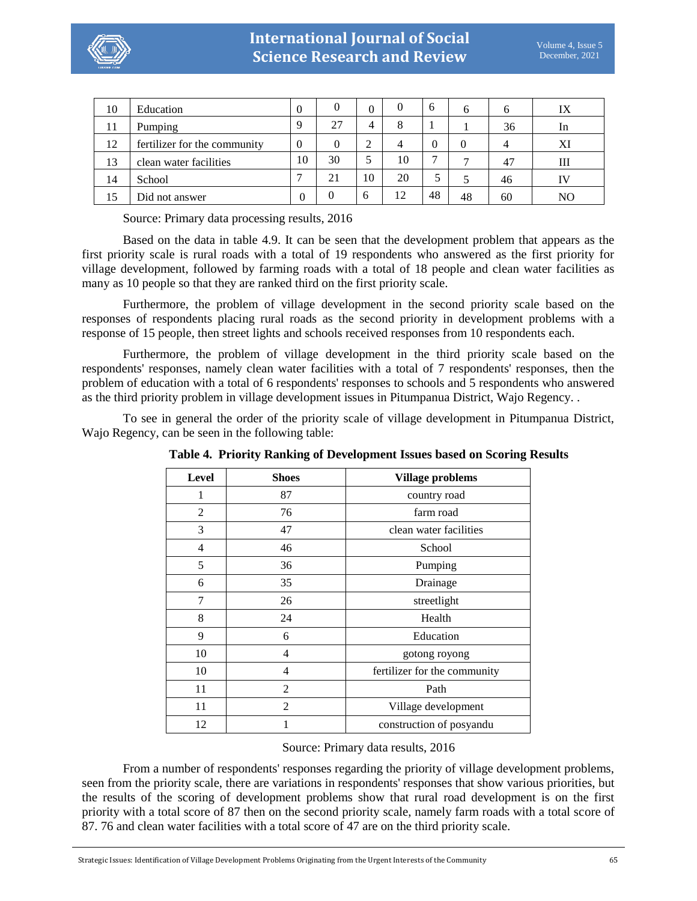

| 10 | Education                    | $\Omega$ | 0        | $\theta$ |    | 6  | h  |    | IX |
|----|------------------------------|----------|----------|----------|----|----|----|----|----|
| 11 | Pumping                      | Q        | 27       | 4        | 8  |    |    | 36 | In |
| 12 | fertilizer for the community | $\theta$ |          | 2        | 4  |    |    |    | XI |
| 13 | clean water facilities       | 10       | 30       | 5        | 10 | -  |    | 47 | Ш  |
| 14 | School                       |          | 21       | 10       | 20 | 5  |    | 46 | IV |
| 15 | Did not answer               | 0        | $\Omega$ | $\sigma$ | 12 | 48 | 48 | 60 | NO |

Source: Primary data processing results, 2016

Based on the data in table 4.9. It can be seen that the development problem that appears as the first priority scale is rural roads with a total of 19 respondents who answered as the first priority for village development, followed by farming roads with a total of 18 people and clean water facilities as many as 10 people so that they are ranked third on the first priority scale.

Furthermore, the problem of village development in the second priority scale based on the responses of respondents placing rural roads as the second priority in development problems with a response of 15 people, then street lights and schools received responses from 10 respondents each.

Furthermore, the problem of village development in the third priority scale based on the respondents' responses, namely clean water facilities with a total of 7 respondents' responses, then the problem of education with a total of 6 respondents' responses to schools and 5 respondents who answered as the third priority problem in village development issues in Pitumpanua District, Wajo Regency. .

To see in general the order of the priority scale of village development in Pitumpanua District, Wajo Regency, can be seen in the following table:

| <b>Level</b>   | <b>Shoes</b>   | <b>Village problems</b>      |
|----------------|----------------|------------------------------|
| 1              | 87             | country road                 |
| 2              | 76             | farm road                    |
| 3              | 47             | clean water facilities       |
| $\overline{4}$ | 46             | School                       |
| 5              | 36             | Pumping                      |
| 6              | 35             | Drainage                     |
| 7              | 26             | streetlight                  |
| 8              | 24             | Health                       |
| 9              | 6              | Education                    |
| 10             | 4              | gotong royong                |
| 10             | 4              | fertilizer for the community |
| 11             | $\overline{2}$ | Path                         |
| 11             | $\overline{2}$ | Village development          |
| 12             | 1              | construction of posyandu     |

**Table 4. Priority Ranking of Development Issues based on Scoring Results**

Source: Primary data results, 2016

From a number of respondents' responses regarding the priority of village development problems, seen from the priority scale, there are variations in respondents' responses that show various priorities, but the results of the scoring of development problems show that rural road development is on the first priority with a total score of 87 then on the second priority scale, namely farm roads with a total score of 87. 76 and clean water facilities with a total score of 47 are on the third priority scale.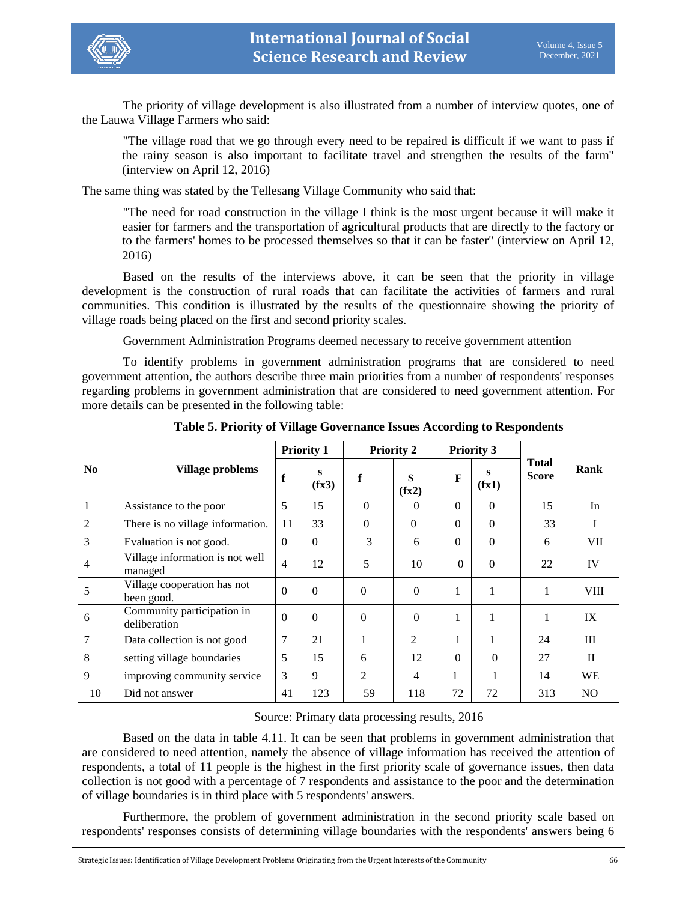

The priority of village development is also illustrated from a number of interview quotes, one of the Lauwa Village Farmers who said:

"The village road that we go through every need to be repaired is difficult if we want to pass if the rainy season is also important to facilitate travel and strengthen the results of the farm" (interview on April 12, 2016)

The same thing was stated by the Tellesang Village Community who said that:

"The need for road construction in the village I think is the most urgent because it will make it easier for farmers and the transportation of agricultural products that are directly to the factory or to the farmers' homes to be processed themselves so that it can be faster" (interview on April 12, 2016)

Based on the results of the interviews above, it can be seen that the priority in village development is the construction of rural roads that can facilitate the activities of farmers and rural communities. This condition is illustrated by the results of the questionnaire showing the priority of village roads being placed on the first and second priority scales.

Government Administration Programs deemed necessary to receive government attention

To identify problems in government administration programs that are considered to need government attention, the authors describe three main priorities from a number of respondents' responses regarding problems in government administration that are considered to need government attention. For more details can be presented in the following table:

|                 |                                            | <b>Priority 1</b> |            |                | <b>Priority 2</b> |          | <b>Priority 3</b> |                              |                |
|-----------------|--------------------------------------------|-------------------|------------|----------------|-------------------|----------|-------------------|------------------------------|----------------|
| N <sub>0</sub>  | <b>Village problems</b>                    | f                 | S<br>(fx3) | f              | S<br>(fx2)        | F        | s<br>(fx1)        | <b>Total</b><br><b>Score</b> | Rank           |
| 1               | Assistance to the poor                     | 5                 | 15         | $\Omega$       | $\Omega$          | $\Omega$ | $\theta$          | 15                           | In             |
| $\overline{2}$  | There is no village information.           | 11                | 33         | $\Omega$       | $\Omega$          | $\Omega$ | $\Omega$          | 33                           | I              |
| 3               | Evaluation is not good.                    | $\Omega$          | $\Omega$   | 3              | 6                 | $\Omega$ | $\theta$          | 6                            | VII            |
| $\overline{4}$  | Village information is not well<br>managed | 4                 | 12         | 5              | 10                | $\Omega$ | $\theta$          | 22                           | IV             |
| 5               | Village cooperation has not<br>been good.  | $\Omega$          | $\theta$   | $\Omega$       | $\Omega$          |          | 1                 |                              | <b>VIII</b>    |
| 6               | Community participation in<br>deliberation | $\theta$          | $\Omega$   | $\Omega$       | $\Omega$          |          |                   | 1                            | IX             |
| $7\phantom{.0}$ | Data collection is not good                | 7                 | 21         |                | $\overline{2}$    |          |                   | 24                           | III            |
| 8               | setting village boundaries                 | 5                 | 15         | 6              | 12                | $\Omega$ | $\Omega$          | 27                           | $\mathbf{I}$   |
| 9               | improving community service                | 3                 | 9          | $\overline{2}$ | $\overline{4}$    | 1        | 1                 | 14                           | <b>WE</b>      |
| 10              | Did not answer                             | 41                | 123        | 59             | 118               | 72       | 72                | 313                          | N <sub>O</sub> |

**Table 5. Priority of Village Governance Issues According to Respondents**

## Source: Primary data processing results, 2016

Based on the data in table 4.11. It can be seen that problems in government administration that are considered to need attention, namely the absence of village information has received the attention of respondents, a total of 11 people is the highest in the first priority scale of governance issues, then data collection is not good with a percentage of 7 respondents and assistance to the poor and the determination of village boundaries is in third place with 5 respondents' answers.

Furthermore, the problem of government administration in the second priority scale based on respondents' responses consists of determining village boundaries with the respondents' answers being 6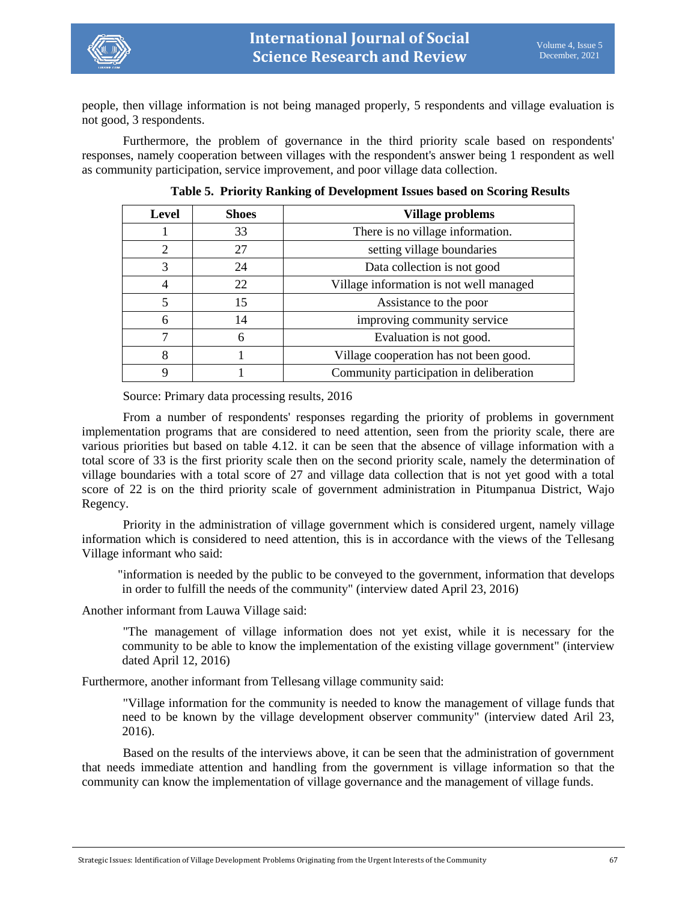

people, then village information is not being managed properly, 5 respondents and village evaluation is not good, 3 respondents.

Furthermore, the problem of governance in the third priority scale based on respondents' responses, namely cooperation between villages with the respondent's answer being 1 respondent as well as community participation, service improvement, and poor village data collection.

| <b>Level</b>   | <b>Shoes</b> | Village problems                        |
|----------------|--------------|-----------------------------------------|
|                | 33           | There is no village information.        |
| $\overline{2}$ | 27           | setting village boundaries              |
| 3              | 24           | Data collection is not good             |
| 4              | 22           | Village information is not well managed |
| 5              | 15           | Assistance to the poor                  |
| 6              | 14           | improving community service             |
| 7              | 6            | Evaluation is not good.                 |
| 8              |              | Village cooperation has not been good.  |
| 9              |              | Community participation in deliberation |

**Table 5. Priority Ranking of Development Issues based on Scoring Results**

Source: Primary data processing results, 2016

From a number of respondents' responses regarding the priority of problems in government implementation programs that are considered to need attention, seen from the priority scale, there are various priorities but based on table 4.12. it can be seen that the absence of village information with a total score of 33 is the first priority scale then on the second priority scale, namely the determination of village boundaries with a total score of 27 and village data collection that is not yet good with a total score of 22 is on the third priority scale of government administration in Pitumpanua District, Wajo Regency.

Priority in the administration of village government which is considered urgent, namely village information which is considered to need attention, this is in accordance with the views of the Tellesang Village informant who said:

"information is needed by the public to be conveyed to the government, information that develops in order to fulfill the needs of the community" (interview dated April 23, 2016)

Another informant from Lauwa Village said:

"The management of village information does not yet exist, while it is necessary for the community to be able to know the implementation of the existing village government" (interview dated April 12, 2016)

Furthermore, another informant from Tellesang village community said:

"Village information for the community is needed to know the management of village funds that need to be known by the village development observer community" (interview dated Aril 23, 2016).

Based on the results of the interviews above, it can be seen that the administration of government that needs immediate attention and handling from the government is village information so that the community can know the implementation of village governance and the management of village funds.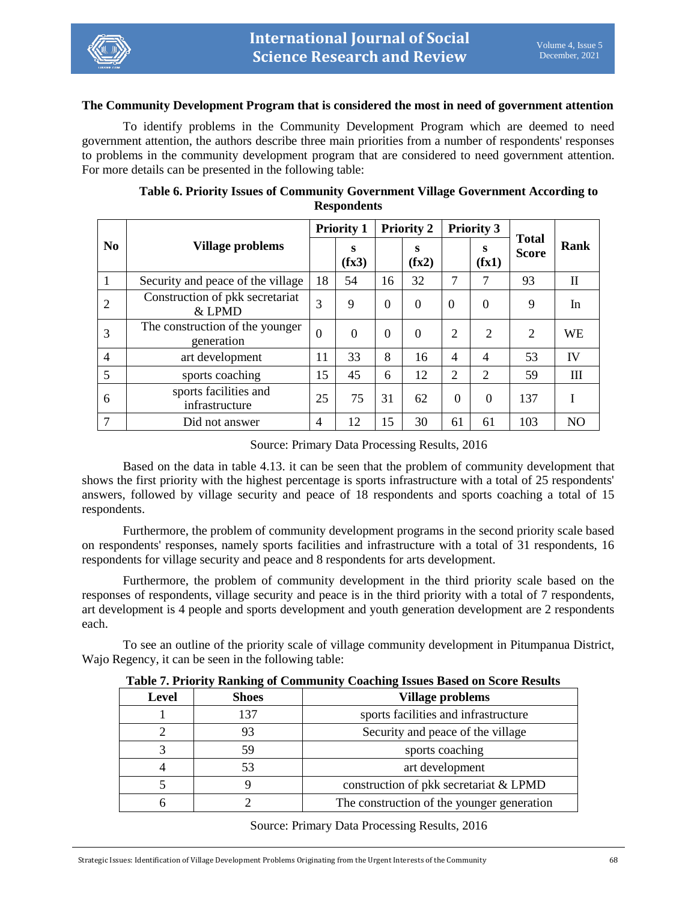

#### **The Community Development Program that is considered the most in need of government attention**

To identify problems in the Community Development Program which are deemed to need government attention, the authors describe three main priorities from a number of respondents' responses to problems in the community development program that are considered to need government attention. For more details can be presented in the following table:

|                 | Village problems                              |                | <b>Priority 1</b> |          | <b>Priority 2</b> |                | <b>Priority 3</b> |                       |                |
|-----------------|-----------------------------------------------|----------------|-------------------|----------|-------------------|----------------|-------------------|-----------------------|----------------|
| N <sub>0</sub>  |                                               |                | s<br>(fx3)        |          | S<br>(fx2)        |                | S<br>(fx1)        | Total<br><b>Score</b> | Rank           |
| $\mathbf{1}$    | Security and peace of the village             | 18             | 54                | 16       | 32                | 7              | 7                 | 93                    | $\mathbf{I}$   |
| 2               | Construction of pkk secretariat<br>& LPMD     | 3              | 9                 | $\Omega$ | $\theta$          | $\Omega$       | $\theta$          | 9                     | In             |
| 3               | The construction of the younger<br>generation | $\overline{0}$ | $\Omega$          | $\Omega$ | $\Omega$          | 2              | $\overline{2}$    | 2                     | WE             |
| $\overline{4}$  | art development                               | 11             | 33                | 8        | 16                | 4              | $\overline{4}$    | 53                    | <b>IV</b>      |
| $5\overline{)}$ | sports coaching                               | 15             | 45                | 6        | 12                | $\overline{2}$ | 2                 | 59                    | Ш              |
| 6               | sports facilities and<br>infrastructure       | 25             | 75                | 31       | 62                | $\Omega$       | $\theta$          | 137                   |                |
| $\overline{7}$  | Did not answer                                | $\overline{4}$ | 12                | 15       | 30                | 61             | 61                | 103                   | N <sub>O</sub> |

## **Table 6. Priority Issues of Community Government Village Government According to Respondents**

Source: Primary Data Processing Results, 2016

Based on the data in table 4.13. it can be seen that the problem of community development that shows the first priority with the highest percentage is sports infrastructure with a total of 25 respondents' answers, followed by village security and peace of 18 respondents and sports coaching a total of 15 respondents.

Furthermore, the problem of community development programs in the second priority scale based on respondents' responses, namely sports facilities and infrastructure with a total of 31 respondents, 16 respondents for village security and peace and 8 respondents for arts development.

Furthermore, the problem of community development in the third priority scale based on the responses of respondents, village security and peace is in the third priority with a total of 7 respondents, art development is 4 people and sports development and youth generation development are 2 respondents each.

To see an outline of the priority scale of village community development in Pitumpanua District, Wajo Regency, it can be seen in the following table:

**Table 7. Priority Ranking of Community Coaching Issues Based on Score Results**

| Level | -<br><b>Shoes</b> | <b>Village problems</b>                    |
|-------|-------------------|--------------------------------------------|
|       | 137               | sports facilities and infrastructure       |
|       | 93                | Security and peace of the village          |
| 2     | 59                | sports coaching                            |
|       | 53                | art development                            |
|       |                   | construction of pkk secretariat & LPMD     |
|       |                   | The construction of the younger generation |

Source: Primary Data Processing Results, 2016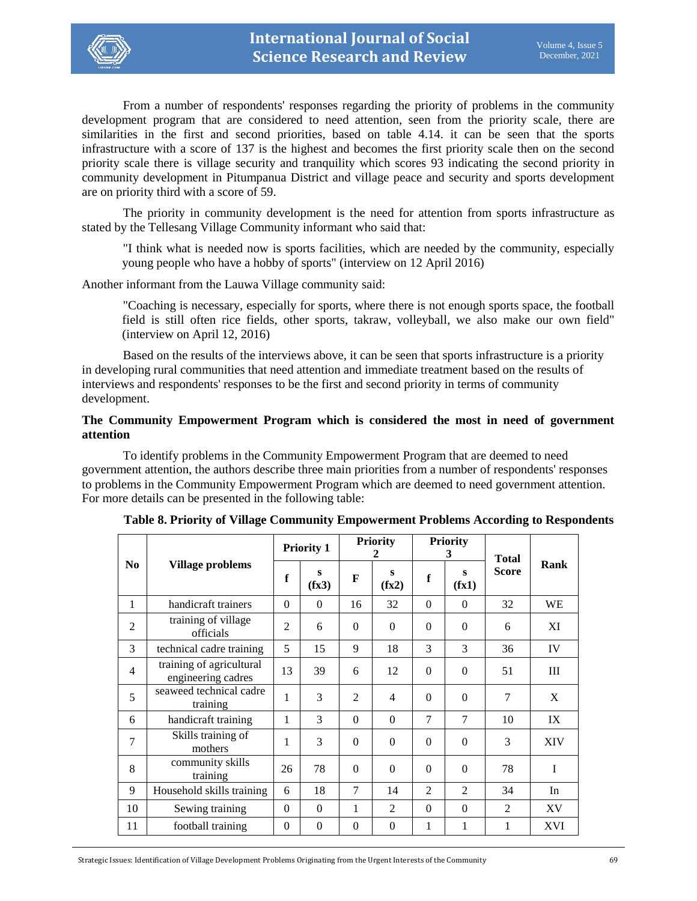

From a number of respondents' responses regarding the priority of problems in the community development program that are considered to need attention, seen from the priority scale, there are similarities in the first and second priorities, based on table 4.14. it can be seen that the sports infrastructure with a score of 137 is the highest and becomes the first priority scale then on the second priority scale there is village security and tranquility which scores 93 indicating the second priority in community development in Pitumpanua District and village peace and security and sports development are on priority third with a score of 59.

The priority in community development is the need for attention from sports infrastructure as stated by the Tellesang Village Community informant who said that:

"I think what is needed now is sports facilities, which are needed by the community, especially young people who have a hobby of sports" (interview on 12 April 2016)

Another informant from the Lauwa Village community said:

"Coaching is necessary, especially for sports, where there is not enough sports space, the football field is still often rice fields, other sports, takraw, volleyball, we also make our own field" (interview on April 12, 2016)

Based on the results of the interviews above, it can be seen that sports infrastructure is a priority in developing rural communities that need attention and immediate treatment based on the results of interviews and respondents' responses to be the first and second priority in terms of community development.

## **The Community Empowerment Program which is considered the most in need of government attention**

To identify problems in the Community Empowerment Program that are deemed to need government attention, the authors describe three main priorities from a number of respondents' responses to problems in the Community Empowerment Program which are deemed to need government attention. For more details can be presented in the following table:

|                |                                                | <b>Priority 1</b> |            |                | <b>Priority</b><br>2 |                | <b>Priority</b><br>3 | <b>Total</b>   |            |
|----------------|------------------------------------------------|-------------------|------------|----------------|----------------------|----------------|----------------------|----------------|------------|
| No.            | Village problems                               | $\mathbf f$       | S<br>(fx3) | F              | S<br>(fx2)           | f              | S<br>(fx1)           | <b>Score</b>   | Rank       |
| 1              | handicraft trainers                            | $\Omega$          | $\Omega$   | 16             | 32                   | $\Omega$       | $\Omega$             | 32             | <b>WE</b>  |
| $\overline{2}$ | training of village<br>officials               | $\overline{2}$    | 6          | $\theta$       | $\Omega$             | $\Omega$       | $\Omega$             | 6              | XI         |
| 3              | technical cadre training                       | 5                 | 15         | 9              | 18                   | 3              | $\mathcal{E}$        | 36             | IV         |
| $\overline{4}$ | training of agricultural<br>engineering cadres | 13                | 39         | 6              | 12                   | $\overline{0}$ | $\overline{0}$       | 51             | Ш          |
| 5              | seaweed technical cadre<br>training            | 1                 | 3          | $\mathfrak{D}$ | $\overline{4}$       | $\Omega$       | $\theta$             | 7              | X          |
| 6              | handicraft training                            | 1                 | 3          | $\theta$       | $\Omega$             | 7              | $\overline{7}$       | 10             | IX         |
| 7              | Skills training of<br>mothers                  | 1                 | 3          | $\theta$       | $\theta$             | $\Omega$       | $\Omega$             | 3              | <b>XIV</b> |
| 8              | community skills<br>training                   | 26                | 78         | $\theta$       | $\Omega$             | $\Omega$       | $\Omega$             | 78             | I          |
| 9              | Household skills training                      | 6                 | 18         | 7              | 14                   | $\overline{2}$ | $\overline{2}$       | 34             | In         |
| 10             | Sewing training                                | $\Omega$          | $\Omega$   | 1              | 2                    | $\Omega$       | $\Omega$             | $\overline{2}$ | XV         |
| 11             | football training                              | $\Omega$          | $\Omega$   | $\theta$       | $\theta$             | 1              | 1                    | 1              | <b>XVI</b> |

**Table 8. Priority of Village Community Empowerment Problems According to Respondents**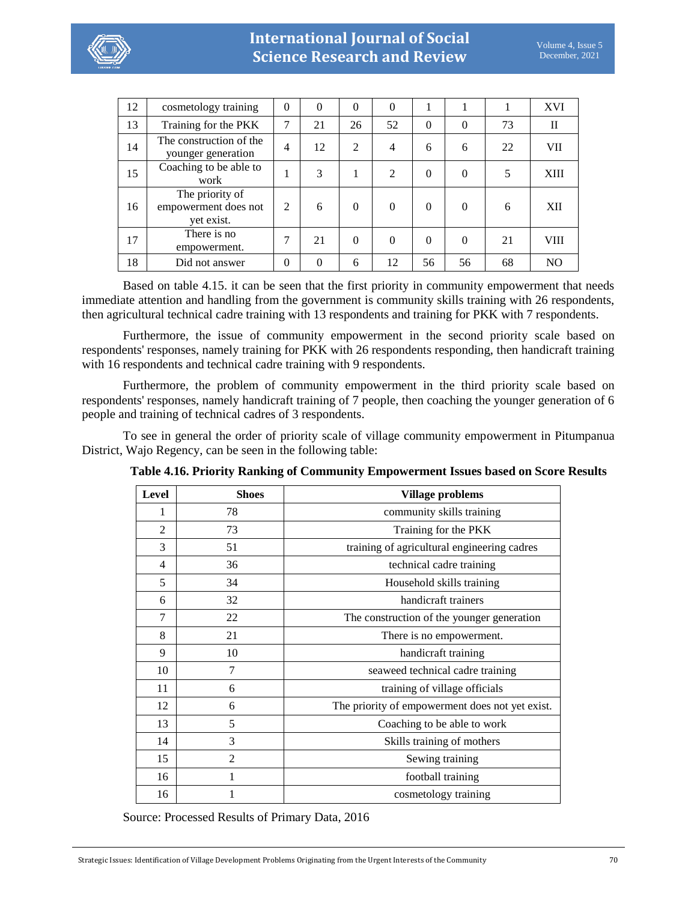

| 12 | cosmetology training                                  | $\Omega$       | $\theta$ | $\theta$       | $\theta$       |          | 1        |    | XVI            |
|----|-------------------------------------------------------|----------------|----------|----------------|----------------|----------|----------|----|----------------|
| 13 | Training for the PKK                                  | 7              | 21       | 26             | 52             | $\theta$ | $\theta$ | 73 | $\mathbf{I}$   |
| 14 | The construction of the<br>younger generation         | 4              | 12       | $\overline{2}$ | $\overline{4}$ | 6        | 6        | 22 | <b>VII</b>     |
| 15 | Coaching to be able to<br>work                        | 1              | 3        | 1              | $\overline{2}$ | $\theta$ | $\theta$ |    | <b>XIII</b>    |
| 16 | The priority of<br>empowerment does not<br>yet exist. | $\overline{2}$ | 6        | $\theta$       | $\theta$       | $\Omega$ | $\theta$ | 6  | XII            |
| 17 | There is no<br>empowerment.                           | 7              | 21       | $\Omega$       | $\theta$       | $\Omega$ | $\theta$ | 21 | VIII           |
| 18 | Did not answer                                        | $\theta$       | $\Omega$ | 6              | 12             | 56       | 56       | 68 | N <sub>O</sub> |

Based on table 4.15. it can be seen that the first priority in community empowerment that needs immediate attention and handling from the government is community skills training with 26 respondents, then agricultural technical cadre training with 13 respondents and training for PKK with 7 respondents.

Furthermore, the issue of community empowerment in the second priority scale based on respondents' responses, namely training for PKK with 26 respondents responding, then handicraft training with 16 respondents and technical cadre training with 9 respondents.

Furthermore, the problem of community empowerment in the third priority scale based on respondents' responses, namely handicraft training of 7 people, then coaching the younger generation of 6 people and training of technical cadres of 3 respondents.

To see in general the order of priority scale of village community empowerment in Pitumpanua District, Wajo Regency, can be seen in the following table:

| Level          | <b>Shoes</b>   | <b>Village problems</b>                         |  |  |
|----------------|----------------|-------------------------------------------------|--|--|
| 1              | 78             | community skills training                       |  |  |
| $\overline{2}$ | 73             | Training for the PKK                            |  |  |
| 3              | 51             | training of agricultural engineering cadres     |  |  |
| $\overline{4}$ | 36             | technical cadre training                        |  |  |
| 5              | 34             | Household skills training                       |  |  |
| 6              | 32             | handicraft trainers                             |  |  |
| 7              | 22             | The construction of the younger generation      |  |  |
| 8              | 21             | There is no empowerment.                        |  |  |
| 9              | 10             | handicraft training                             |  |  |
| 10             | 7              | seaweed technical cadre training                |  |  |
| 11             | 6              | training of village officials                   |  |  |
| 12             | 6              | The priority of empowerment does not yet exist. |  |  |
| 13             | 5              | Coaching to be able to work                     |  |  |
| 14             | 3              | Skills training of mothers                      |  |  |
| 15             | $\overline{2}$ | Sewing training                                 |  |  |
| 16             |                | football training                               |  |  |
| 16             |                | cosmetology training                            |  |  |

**Table 4.16. Priority Ranking of Community Empowerment Issues based on Score Results**

Source: Processed Results of Primary Data, 2016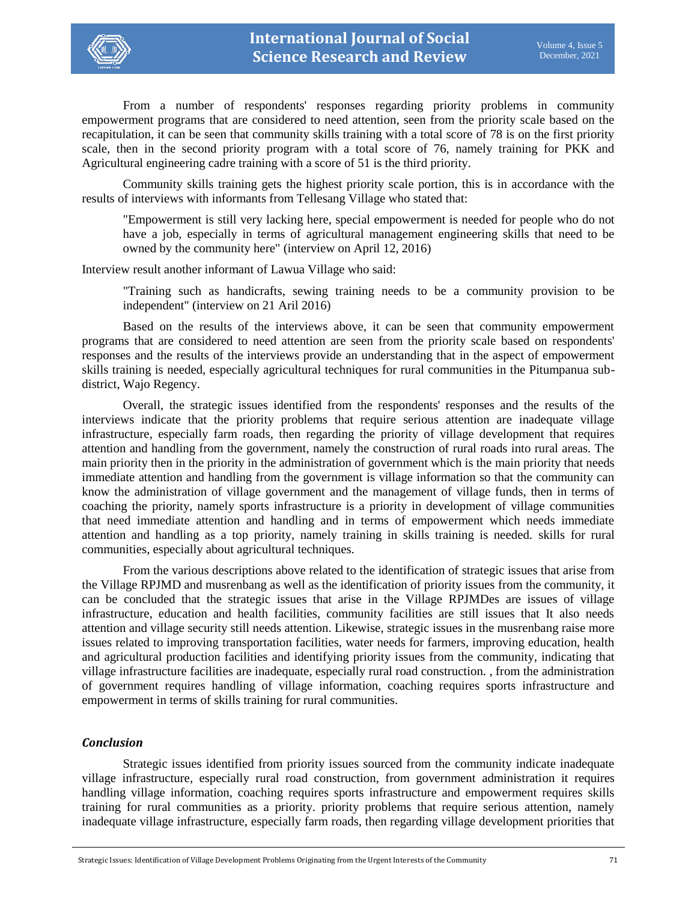

From a number of respondents' responses regarding priority problems in community empowerment programs that are considered to need attention, seen from the priority scale based on the recapitulation, it can be seen that community skills training with a total score of 78 is on the first priority scale, then in the second priority program with a total score of 76, namely training for PKK and Agricultural engineering cadre training with a score of 51 is the third priority.

Community skills training gets the highest priority scale portion, this is in accordance with the results of interviews with informants from Tellesang Village who stated that:

"Empowerment is still very lacking here, special empowerment is needed for people who do not have a job, especially in terms of agricultural management engineering skills that need to be owned by the community here" (interview on April 12, 2016)

Interview result another informant of Lawua Village who said:

"Training such as handicrafts, sewing training needs to be a community provision to be independent" (interview on 21 Aril 2016)

Based on the results of the interviews above, it can be seen that community empowerment programs that are considered to need attention are seen from the priority scale based on respondents' responses and the results of the interviews provide an understanding that in the aspect of empowerment skills training is needed, especially agricultural techniques for rural communities in the Pitumpanua subdistrict, Wajo Regency.

Overall, the strategic issues identified from the respondents' responses and the results of the interviews indicate that the priority problems that require serious attention are inadequate village infrastructure, especially farm roads, then regarding the priority of village development that requires attention and handling from the government, namely the construction of rural roads into rural areas. The main priority then in the priority in the administration of government which is the main priority that needs immediate attention and handling from the government is village information so that the community can know the administration of village government and the management of village funds, then in terms of coaching the priority, namely sports infrastructure is a priority in development of village communities that need immediate attention and handling and in terms of empowerment which needs immediate attention and handling as a top priority, namely training in skills training is needed. skills for rural communities, especially about agricultural techniques.

From the various descriptions above related to the identification of strategic issues that arise from the Village RPJMD and musrenbang as well as the identification of priority issues from the community, it can be concluded that the strategic issues that arise in the Village RPJMDes are issues of village infrastructure, education and health facilities, community facilities are still issues that It also needs attention and village security still needs attention. Likewise, strategic issues in the musrenbang raise more issues related to improving transportation facilities, water needs for farmers, improving education, health and agricultural production facilities and identifying priority issues from the community, indicating that village infrastructure facilities are inadequate, especially rural road construction. , from the administration of government requires handling of village information, coaching requires sports infrastructure and empowerment in terms of skills training for rural communities.

## *Conclusion*

Strategic issues identified from priority issues sourced from the community indicate inadequate village infrastructure, especially rural road construction, from government administration it requires handling village information, coaching requires sports infrastructure and empowerment requires skills training for rural communities as a priority. priority problems that require serious attention, namely inadequate village infrastructure, especially farm roads, then regarding village development priorities that